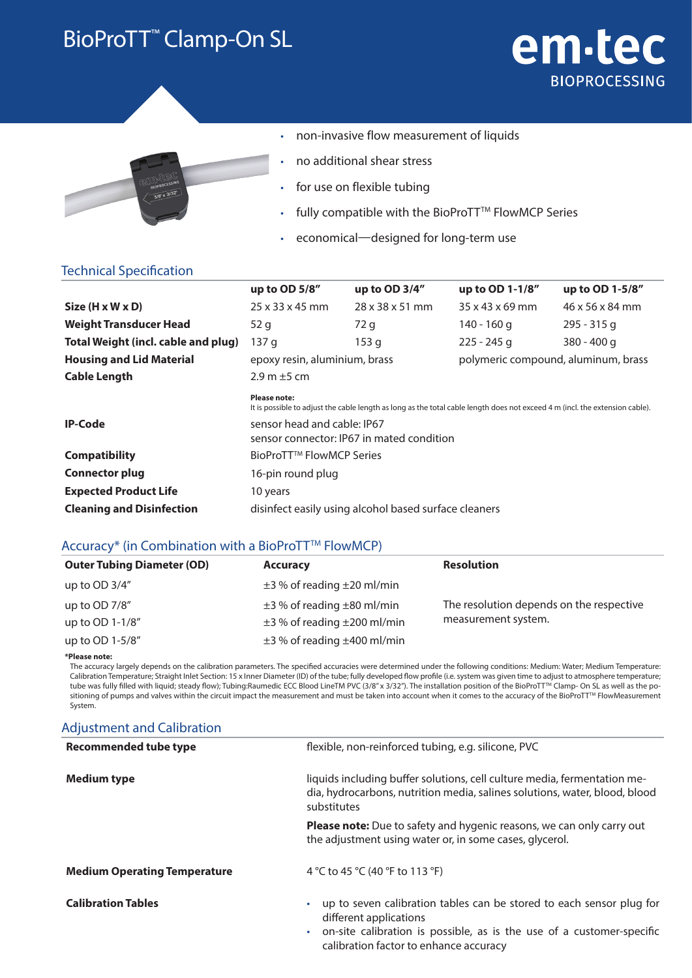### BioProTT™ Clamp-On SL

# em-tec **BIOPROCESSING**



- non-invasive flow measurement of liquids
- no additional shear stress
- for use on flexible tubing
- fully compatible with the BioProTT™ FlowMCP Series
- economical—designed for long-term use

### Technical Specification

|                                     | up to OD 5/8"                                                            | up to OD 3/4"                                                                                                                | up to OD 1-1/8"                     | up to OD 1-5/8" |
|-------------------------------------|--------------------------------------------------------------------------|------------------------------------------------------------------------------------------------------------------------------|-------------------------------------|-----------------|
| $Size (H \times W \times D)$        | $25 \times 33 \times 45$ mm                                              | $28 \times 38 \times 51$ mm                                                                                                  | $35 \times 43 \times 69$ mm         | 46 x 56 x 84 mm |
| <b>Weight Transducer Head</b>       | 52 g                                                                     | 72 g                                                                                                                         | 140 - 160 g                         | $295 - 315$ g   |
| Total Weight (incl. cable and plug) | 137 g                                                                    | 153 g                                                                                                                        | $225 - 245$ g                       | $380 - 400$ g   |
| <b>Housing and Lid Material</b>     | epoxy resin, aluminium, brass                                            |                                                                                                                              | polymeric compound, aluminum, brass |                 |
| <b>Cable Length</b>                 | $2.9$ m $\pm$ 5 cm                                                       |                                                                                                                              |                                     |                 |
|                                     | <b>Please note:</b>                                                      | It is possible to adjust the cable length as long as the total cable length does not exceed 4 m (incl. the extension cable). |                                     |                 |
| <b>IP-Code</b>                      | sensor head and cable: IP67<br>sensor connector: IP67 in mated condition |                                                                                                                              |                                     |                 |
| <b>Compatibility</b>                | BioProTT™ FlowMCP Series                                                 |                                                                                                                              |                                     |                 |
| <b>Connector plug</b>               | 16-pin round plug                                                        |                                                                                                                              |                                     |                 |
| <b>Expected Product Life</b>        | 10 years                                                                 |                                                                                                                              |                                     |                 |
| <b>Cleaning and Disinfection</b>    | disinfect easily using alcohol based surface cleaners                    |                                                                                                                              |                                     |                 |

#### Accuracy<sup>\*</sup> (in Combination with a BioProTT<sup>™</sup> FlowMCP)

| <b>Outer Tubing Diameter (OD)</b> | <b>Accuracy</b>                       | <b>Resolution</b>                        |
|-----------------------------------|---------------------------------------|------------------------------------------|
| up to $OD 3/4"$                   | $\pm$ 3 % of reading $\pm$ 20 ml/min  |                                          |
| up to OD 7/8"                     | $\pm$ 3 % of reading $\pm$ 80 ml/min  | The resolution depends on the respective |
| up to OD 1-1/8"                   | $\pm$ 3 % of reading $\pm$ 200 ml/min | measurement system.                      |
| up to OD 1-5/8"                   | $\pm$ 3 % of reading $\pm$ 400 ml/min |                                          |

**\*Please note:**

The accuracy largely depends on the calibration parameters. The specified accuracies were determined under the following conditions: Medium: Water; Medium Temperature: Calibration Temperature; Straight Inlet Section: 15 x Inner Diameter (ID) of the tube; fully developed flow profile (i.e. system was given time to adjust to atmosphere temperature; tube was fully filled with liquid; steady flow); Tubing:Raumedic ECC Blood LineTM PVC (3/8″ x 3/32″). The installation position of the BioProTT™ Clamp- On SL as well as the positioning of pumps and valves within the circuit impact the measurement and must be taken into account when it comes to the accuracy of the BioProTT™ FlowMeasurement System.

### Adjustment and Calibration

| <b>Recommended tube type</b>        | flexible, non-reinforced tubing, e.g. silicone, PVC                                                                                                                                                                         |  |
|-------------------------------------|-----------------------------------------------------------------------------------------------------------------------------------------------------------------------------------------------------------------------------|--|
| <b>Medium type</b>                  | liquids including buffer solutions, cell culture media, fermentation me-<br>dia, hydrocarbons, nutrition media, salines solutions, water, blood, blood<br>substitutes                                                       |  |
|                                     | <b>Please note:</b> Due to safety and hygenic reasons, we can only carry out<br>the adjustment using water or, in some cases, glycerol.                                                                                     |  |
| <b>Medium Operating Temperature</b> | 4 °C to 45 °C (40 °F to 113 °F)                                                                                                                                                                                             |  |
| <b>Calibration Tables</b>           | up to seven calibration tables can be stored to each sensor plug for<br>۰<br>different applications<br>on-site calibration is possible, as is the use of a customer-specific<br>۰<br>calibration factor to enhance accuracy |  |